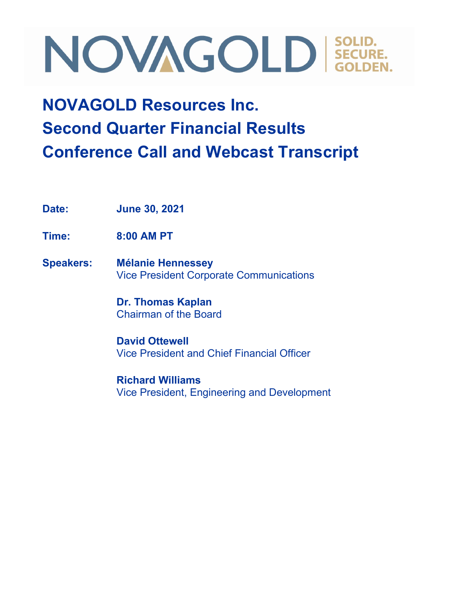### **NOVAGOLD Resources Inc. Second Quarter Financial Results Conference Call and Webcast Transcript**

**Date: June 30, 2021**

**Time: 8:00 AM PT**

**Speakers: Mélanie Hennessey** Vice President Corporate Communications

> **Dr. Thomas Kaplan** Chairman of the Board

**David Ottewell** Vice President and Chief Financial Officer

**Richard Williams** Vice President, Engineering and Development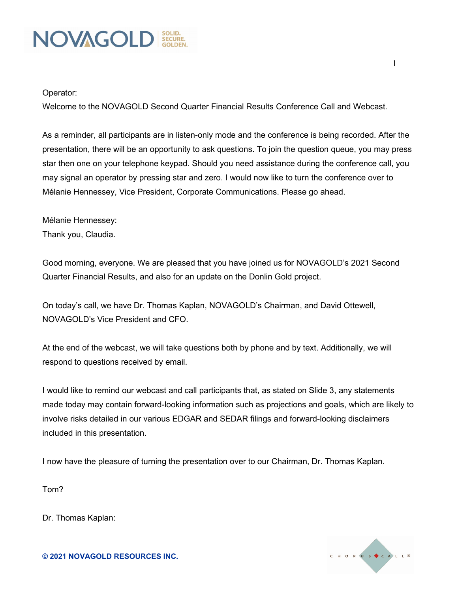

#### Operator:

Welcome to the NOVAGOLD Second Quarter Financial Results Conference Call and Webcast.

As a reminder, all participants are in listen-only mode and the conference is being recorded. After the presentation, there will be an opportunity to ask questions. To join the question queue, you may press star then one on your telephone keypad. Should you need assistance during the conference call, you may signal an operator by pressing star and zero. I would now like to turn the conference over to Mélanie Hennessey, Vice President, Corporate Communications. Please go ahead.

Mélanie Hennessey: Thank you, Claudia.

Good morning, everyone. We are pleased that you have joined us for NOVAGOLD's 2021 Second Quarter Financial Results, and also for an update on the Donlin Gold project.

On today's call, we have Dr. Thomas Kaplan, NOVAGOLD's Chairman, and David Ottewell, NOVAGOLD's Vice President and CFO.

At the end of the webcast, we will take questions both by phone and by text. Additionally, we will respond to questions received by email.

I would like to remind our webcast and call participants that, as stated on Slide 3, any statements made today may contain forward-looking information such as projections and goals, which are likely to involve risks detailed in our various EDGAR and SEDAR filings and forward-looking disclaimers included in this presentation.

I now have the pleasure of turning the presentation over to our Chairman, Dr. Thomas Kaplan.

Tom?

Dr. Thomas Kaplan:

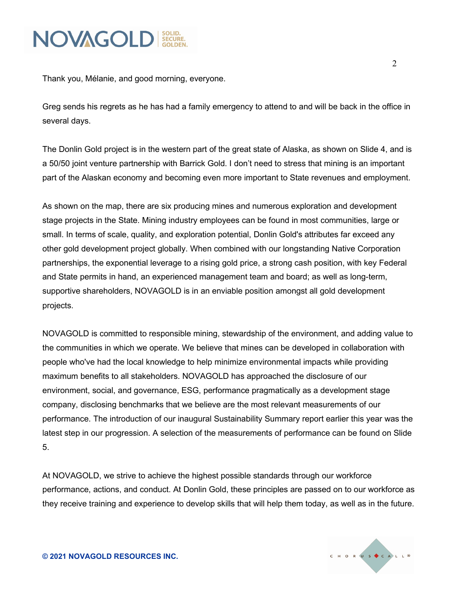Thank you, Mélanie, and good morning, everyone.

Greg sends his regrets as he has had a family emergency to attend to and will be back in the office in several days.

The Donlin Gold project is in the western part of the great state of Alaska, as shown on Slide 4, and is a 50/50 joint venture partnership with Barrick Gold. I don't need to stress that mining is an important part of the Alaskan economy and becoming even more important to State revenues and employment.

As shown on the map, there are six producing mines and numerous exploration and development stage projects in the State. Mining industry employees can be found in most communities, large or small. In terms of scale, quality, and exploration potential, Donlin Gold's attributes far exceed any other gold development project globally. When combined with our longstanding Native Corporation partnerships, the exponential leverage to a rising gold price, a strong cash position, with key Federal and State permits in hand, an experienced management team and board; as well as long-term, supportive shareholders, NOVAGOLD is in an enviable position amongst all gold development projects.

NOVAGOLD is committed to responsible mining, stewardship of the environment, and adding value to the communities in which we operate. We believe that mines can be developed in collaboration with people who've had the local knowledge to help minimize environmental impacts while providing maximum benefits to all stakeholders. NOVAGOLD has approached the disclosure of our environment, social, and governance, ESG, performance pragmatically as a development stage company, disclosing benchmarks that we believe are the most relevant measurements of our performance. The introduction of our inaugural Sustainability Summary report earlier this year was the latest step in our progression. A selection of the measurements of performance can be found on Slide 5.

At NOVAGOLD, we strive to achieve the highest possible standards through our workforce performance, actions, and conduct. At Donlin Gold, these principles are passed on to our workforce as they receive training and experience to develop skills that will help them today, as well as in the future.

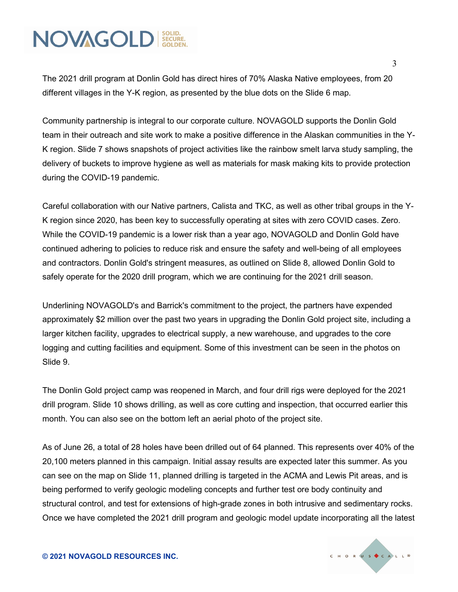The 2021 drill program at Donlin Gold has direct hires of 70% Alaska Native employees, from 20 different villages in the Y-K region, as presented by the blue dots on the Slide 6 map.

Community partnership is integral to our corporate culture. NOVAGOLD supports the Donlin Gold team in their outreach and site work to make a positive difference in the Alaskan communities in the Y-K region. Slide 7 shows snapshots of project activities like the rainbow smelt larva study sampling, the delivery of buckets to improve hygiene as well as materials for mask making kits to provide protection during the COVID-19 pandemic.

Careful collaboration with our Native partners, Calista and TKC, as well as other tribal groups in the Y-K region since 2020, has been key to successfully operating at sites with zero COVID cases. Zero. While the COVID-19 pandemic is a lower risk than a year ago, NOVAGOLD and Donlin Gold have continued adhering to policies to reduce risk and ensure the safety and well-being of all employees and contractors. Donlin Gold's stringent measures, as outlined on Slide 8, allowed Donlin Gold to safely operate for the 2020 drill program, which we are continuing for the 2021 drill season.

Underlining NOVAGOLD's and Barrick's commitment to the project, the partners have expended approximately \$2 million over the past two years in upgrading the Donlin Gold project site, including a larger kitchen facility, upgrades to electrical supply, a new warehouse, and upgrades to the core logging and cutting facilities and equipment. Some of this investment can be seen in the photos on Slide 9.

The Donlin Gold project camp was reopened in March, and four drill rigs were deployed for the 2021 drill program. Slide 10 shows drilling, as well as core cutting and inspection, that occurred earlier this month. You can also see on the bottom left an aerial photo of the project site.

As of June 26, a total of 28 holes have been drilled out of 64 planned. This represents over 40% of the 20,100 meters planned in this campaign. Initial assay results are expected later this summer. As you can see on the map on Slide 11, planned drilling is targeted in the ACMA and Lewis Pit areas, and is being performed to verify geologic modeling concepts and further test ore body continuity and structural control, and test for extensions of high-grade zones in both intrusive and sedimentary rocks. Once we have completed the 2021 drill program and geologic model update incorporating all the latest

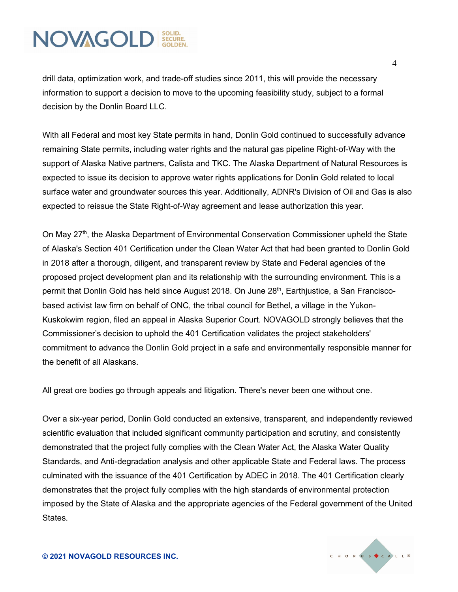drill data, optimization work, and trade-off studies since 2011, this will provide the necessary information to support a decision to move to the upcoming feasibility study, subject to a formal decision by the Donlin Board LLC.

With all Federal and most key State permits in hand, Donlin Gold continued to successfully advance remaining State permits, including water rights and the natural gas pipeline Right-of-Way with the support of Alaska Native partners, Calista and TKC. The Alaska Department of Natural Resources is expected to issue its decision to approve water rights applications for Donlin Gold related to local surface water and groundwater sources this year. Additionally, ADNR's Division of Oil and Gas is also expected to reissue the State Right-of-Way agreement and lease authorization this year.

On May 27<sup>th</sup>, the Alaska Department of Environmental Conservation Commissioner upheld the State of Alaska's Section 401 Certification under the Clean Water Act that had been granted to Donlin Gold in 2018 after a thorough, diligent, and transparent review by State and Federal agencies of the proposed project development plan and its relationship with the surrounding environment. This is a permit that Donlin Gold has held since August 2018. On June  $28<sup>th</sup>$ , Earthjustice, a San Franciscobased activist law firm on behalf of ONC, the tribal council for Bethel, a village in the Yukon-Kuskokwim region, filed an appeal in Alaska Superior Court. NOVAGOLD strongly believes that the Commissioner's decision to uphold the 401 Certification validates the project stakeholders' commitment to advance the Donlin Gold project in a safe and environmentally responsible manner for the benefit of all Alaskans.

All great ore bodies go through appeals and litigation. There's never been one without one.

Over a six-year period, Donlin Gold conducted an extensive, transparent, and independently reviewed scientific evaluation that included significant community participation and scrutiny, and consistently demonstrated that the project fully complies with the Clean Water Act, the Alaska Water Quality Standards, and Anti-degradation analysis and other applicable State and Federal laws. The process culminated with the issuance of the 401 Certification by ADEC in 2018. The 401 Certification clearly demonstrates that the project fully complies with the high standards of environmental protection imposed by the State of Alaska and the appropriate agencies of the Federal government of the United States.

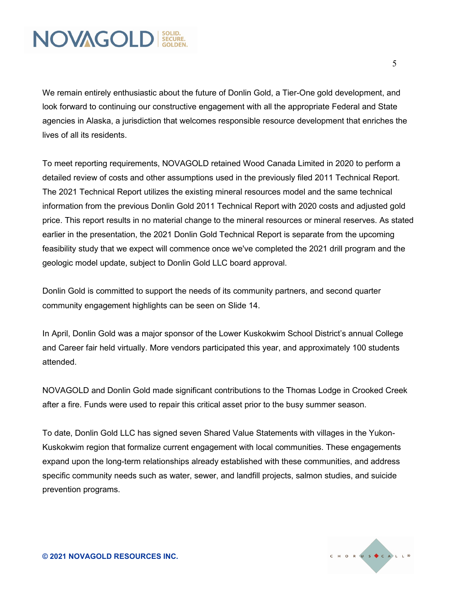We remain entirely enthusiastic about the future of Donlin Gold, a Tier-One gold development, and look forward to continuing our constructive engagement with all the appropriate Federal and State agencies in Alaska, a jurisdiction that welcomes responsible resource development that enriches the lives of all its residents.

To meet reporting requirements, NOVAGOLD retained Wood Canada Limited in 2020 to perform a detailed review of costs and other assumptions used in the previously filed 2011 Technical Report. The 2021 Technical Report utilizes the existing mineral resources model and the same technical information from the previous Donlin Gold 2011 Technical Report with 2020 costs and adjusted gold price. This report results in no material change to the mineral resources or mineral reserves. As stated earlier in the presentation, the 2021 Donlin Gold Technical Report is separate from the upcoming feasibility study that we expect will commence once we've completed the 2021 drill program and the geologic model update, subject to Donlin Gold LLC board approval.

Donlin Gold is committed to support the needs of its community partners, and second quarter community engagement highlights can be seen on Slide 14.

In April, Donlin Gold was a major sponsor of the Lower Kuskokwim School District's annual College and Career fair held virtually. More vendors participated this year, and approximately 100 students attended.

NOVAGOLD and Donlin Gold made significant contributions to the Thomas Lodge in Crooked Creek after a fire. Funds were used to repair this critical asset prior to the busy summer season.

To date, Donlin Gold LLC has signed seven Shared Value Statements with villages in the Yukon-Kuskokwim region that formalize current engagement with local communities. These engagements expand upon the long-term relationships already established with these communities, and address specific community needs such as water, sewer, and landfill projects, salmon studies, and suicide prevention programs.

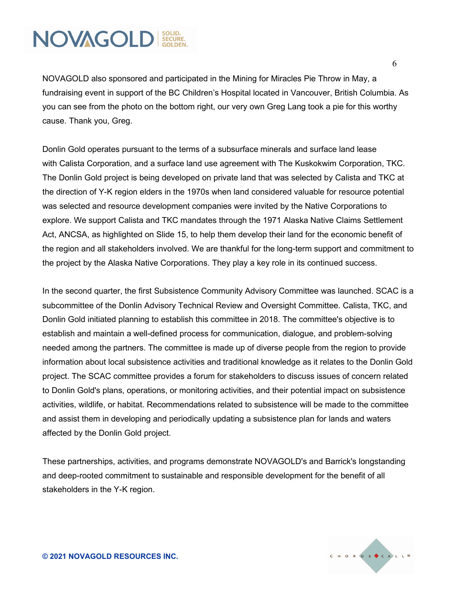NOVAGOLD also sponsored and participated in the Mining for Miracles Pie Throw in May, a fundraising event in support of the BC Children's Hospital located in Vancouver, British Columbia. As you can see from the photo on the bottom right, our very own Greg Lang took a pie for this worthy cause. Thank you, Greg.

Donlin Gold operates pursuant to the terms of a subsurface minerals and surface land lease with Calista Corporation, and a surface land use agreement with The Kuskokwim Corporation, TKC. The Donlin Gold project is being developed on private land that was selected by Calista and TKC at the direction of Y-K region elders in the 1970s when land considered valuable for resource potential was selected and resource development companies were invited by the Native Corporations to explore. We support Calista and TKC mandates through the 1971 Alaska Native Claims Settlement Act, ANCSA, as highlighted on Slide 15, to help them develop their land for the economic benefit of the region and all stakeholders involved. We are thankful for the long-term support and commitment to the project by the Alaska Native Corporations. They play a key role in its continued success.

In the second quarter, the first Subsistence Community Advisory Committee was launched. SCAC is a subcommittee of the Donlin Advisory Technical Review and Oversight Committee. Calista, TKC, and Donlin Gold initiated planning to establish this committee in 2018. The committee's objective is to establish and maintain a well-defined process for communication, dialogue, and problem-solving needed among the partners. The committee is made up of diverse people from the region to provide information about local subsistence activities and traditional knowledge as it relates to the Donlin Gold project. The SCAC committee provides a forum for stakeholders to discuss issues of concern related to Donlin Gold's plans, operations, or monitoring activities, and their potential impact on subsistence activities, wildlife, or habitat. Recommendations related to subsistence will be made to the committee and assist them in developing and periodically updating a subsistence plan for lands and waters affected by the Donlin Gold project.

These partnerships, activities, and programs demonstrate NOVAGOLD's and Barrick's longstanding and deep-rooted commitment to sustainable and responsible development for the benefit of all stakeholders in the Y-K region.

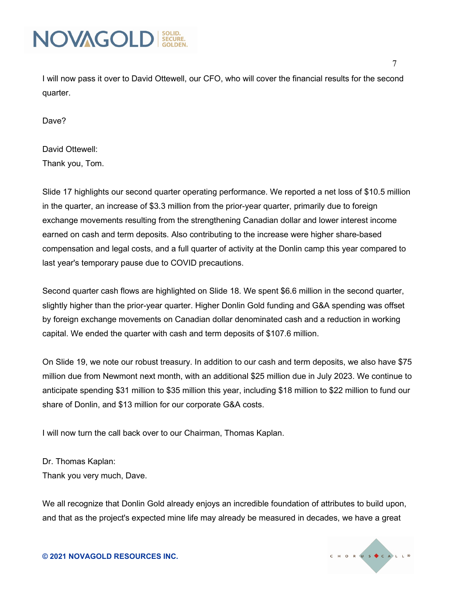

I will now pass it over to David Ottewell, our CFO, who will cover the financial results for the second quarter.

Dave?

### David Ottewell:

Thank you, Tom.

Slide 17 highlights our second quarter operating performance. We reported a net loss of \$10.5 million in the quarter, an increase of \$3.3 million from the prior-year quarter, primarily due to foreign exchange movements resulting from the strengthening Canadian dollar and lower interest income earned on cash and term deposits. Also contributing to the increase were higher share-based compensation and legal costs, and a full quarter of activity at the Donlin camp this year compared to last year's temporary pause due to COVID precautions.

Second quarter cash flows are highlighted on Slide 18. We spent \$6.6 million in the second quarter, slightly higher than the prior-year quarter. Higher Donlin Gold funding and G&A spending was offset by foreign exchange movements on Canadian dollar denominated cash and a reduction in working capital. We ended the quarter with cash and term deposits of \$107.6 million.

On Slide 19, we note our robust treasury. In addition to our cash and term deposits, we also have \$75 million due from Newmont next month, with an additional \$25 million due in July 2023. We continue to anticipate spending \$31 million to \$35 million this year, including \$18 million to \$22 million to fund our share of Donlin, and \$13 million for our corporate G&A costs.

I will now turn the call back over to our Chairman, Thomas Kaplan.

Dr. Thomas Kaplan: Thank you very much, Dave.

We all recognize that Donlin Gold already enjoys an incredible foundation of attributes to build upon, and that as the project's expected mine life may already be measured in decades, we have a great

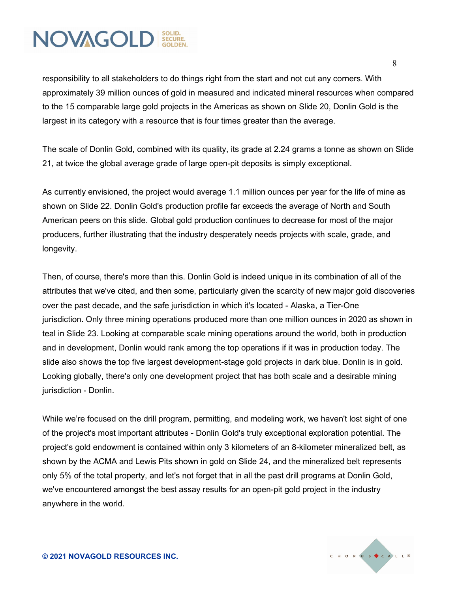responsibility to all stakeholders to do things right from the start and not cut any corners. With approximately 39 million ounces of gold in measured and indicated mineral resources when compared to the 15 comparable large gold projects in the Americas as shown on Slide 20, Donlin Gold is the largest in its category with a resource that is four times greater than the average.

The scale of Donlin Gold, combined with its quality, its grade at 2.24 grams a tonne as shown on Slide 21, at twice the global average grade of large open-pit deposits is simply exceptional.

As currently envisioned, the project would average 1.1 million ounces per year for the life of mine as shown on Slide 22. Donlin Gold's production profile far exceeds the average of North and South American peers on this slide. Global gold production continues to decrease for most of the major producers, further illustrating that the industry desperately needs projects with scale, grade, and longevity.

Then, of course, there's more than this. Donlin Gold is indeed unique in its combination of all of the attributes that we've cited, and then some, particularly given the scarcity of new major gold discoveries over the past decade, and the safe jurisdiction in which it's located - Alaska, a Tier-One jurisdiction. Only three mining operations produced more than one million ounces in 2020 as shown in teal in Slide 23. Looking at comparable scale mining operations around the world, both in production and in development, Donlin would rank among the top operations if it was in production today. The slide also shows the top five largest development-stage gold projects in dark blue. Donlin is in gold. Looking globally, there's only one development project that has both scale and a desirable mining jurisdiction - Donlin.

While we're focused on the drill program, permitting, and modeling work, we haven't lost sight of one of the project's most important attributes - Donlin Gold's truly exceptional exploration potential. The project's gold endowment is contained within only 3 kilometers of an 8-kilometer mineralized belt, as shown by the ACMA and Lewis Pits shown in gold on Slide 24, and the mineralized belt represents only 5% of the total property, and let's not forget that in all the past drill programs at Donlin Gold, we've encountered amongst the best assay results for an open-pit gold project in the industry anywhere in the world.



**© 2021 NOVAGOLD RESOURCES INC.**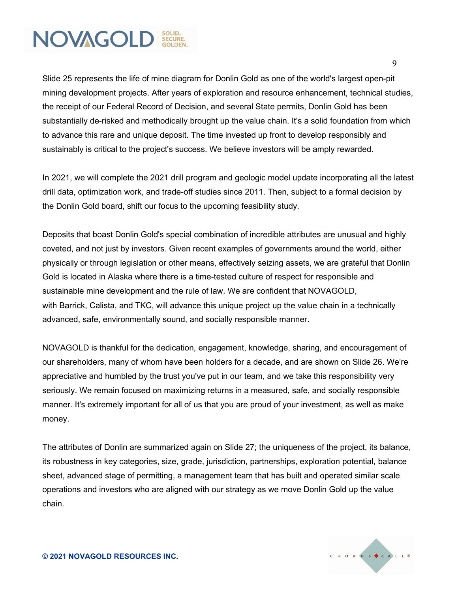Slide 25 represents the life of mine diagram for Donlin Gold as one of the world's largest open-pit mining development projects. After years of exploration and resource enhancement, technical studies, the receipt of our Federal Record of Decision, and several State permits, Donlin Gold has been substantially de-risked and methodically brought up the value chain. It's a solid foundation from which to advance this rare and unique deposit. The time invested up front to develop responsibly and sustainably is critical to the project's success. We believe investors will be amply rewarded.

In 2021, we will complete the 2021 drill program and geologic model update incorporating all the latest drill data, optimization work, and trade-off studies since 2011. Then, subject to a formal decision by the Donlin Gold board, shift our focus to the upcoming feasibility study.

Deposits that boast Donlin Gold's special combination of incredible attributes are unusual and highly coveted, and not just by investors. Given recent examples of governments around the world, either physically or through legislation or other means, effectively seizing assets, we are grateful that Donlin Gold is located in Alaska where there is a time-tested culture of respect for responsible and sustainable mine development and the rule of law. We are confident that NOVAGOLD, with Barrick, Calista, and TKC, will advance this unique project up the value chain in a technically advanced, safe, environmentally sound, and socially responsible manner.

NOVAGOLD is thankful for the dedication, engagement, knowledge, sharing, and encouragement of our shareholders, many of whom have been holders for a decade, and are shown on Slide 26. We're appreciative and humbled by the trust you've put in our team, and we take this responsibility very seriously. We remain focused on maximizing returns in a measured, safe, and socially responsible manner. It's extremely important for all of us that you are proud of your investment, as well as make money.

The attributes of Donlin are summarized again on Slide 27; the uniqueness of the project, its balance, its robustness in key categories, size, grade, jurisdiction, partnerships, exploration potential, balance sheet, advanced stage of permitting, a management team that has built and operated similar scale operations and investors who are aligned with our strategy as we move Donlin Gold up the value chain.

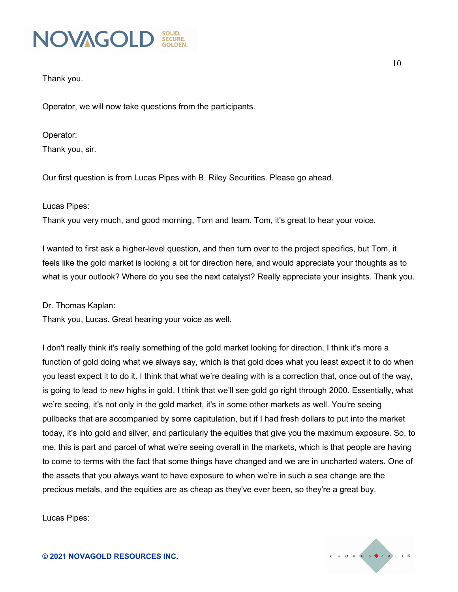

Thank you.

Operator, we will now take questions from the participants.

Operator: Thank you, sir.

Our first question is from Lucas Pipes with B. Riley Securities. Please go ahead.

Lucas Pipes:

Thank you very much, and good morning, Tom and team. Tom, it's great to hear your voice.

I wanted to first ask a higher-level question, and then turn over to the project specifics, but Tom, it feels like the gold market is looking a bit for direction here, and would appreciate your thoughts as to what is your outlook? Where do you see the next catalyst? Really appreciate your insights. Thank you.

Dr. Thomas Kaplan:

Thank you, Lucas. Great hearing your voice as well.

I don't really think it's really something of the gold market looking for direction. I think it's more a function of gold doing what we always say, which is that gold does what you least expect it to do when you least expect it to do it. I think that what we're dealing with is a correction that, once out of the way, is going to lead to new highs in gold. I think that we'll see gold go right through 2000. Essentially, what we're seeing, it's not only in the gold market, it's in some other markets as well. You're seeing pullbacks that are accompanied by some capitulation, but if I had fresh dollars to put into the market today, it's into gold and silver, and particularly the equities that give you the maximum exposure. So, to me, this is part and parcel of what we're seeing overall in the markets, which is that people are having to come to terms with the fact that some things have changed and we are in uncharted waters. One of the assets that you always want to have exposure to when we're in such a sea change are the precious metals, and the equities are as cheap as they've ever been, so they're a great buy.

Lucas Pipes: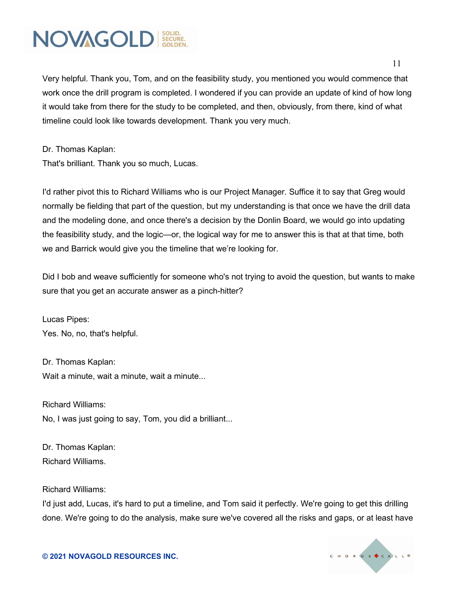Very helpful. Thank you, Tom, and on the feasibility study, you mentioned you would commence that work once the drill program is completed. I wondered if you can provide an update of kind of how long it would take from there for the study to be completed, and then, obviously, from there, kind of what timeline could look like towards development. Thank you very much.

Dr. Thomas Kaplan:

That's brilliant. Thank you so much, Lucas.

I'd rather pivot this to Richard Williams who is our Project Manager. Suffice it to say that Greg would normally be fielding that part of the question, but my understanding is that once we have the drill data and the modeling done, and once there's a decision by the Donlin Board, we would go into updating the feasibility study, and the logic—or, the logical way for me to answer this is that at that time, both we and Barrick would give you the timeline that we're looking for.

Did I bob and weave sufficiently for someone who's not trying to avoid the question, but wants to make sure that you get an accurate answer as a pinch-hitter?

Lucas Pipes: Yes. No, no, that's helpful.

Dr. Thomas Kaplan: Wait a minute, wait a minute, wait a minute...

Richard Williams: No, I was just going to say, Tom, you did a brilliant...

Dr. Thomas Kaplan: Richard Williams.

#### Richard Williams:

I'd just add, Lucas, it's hard to put a timeline, and Tom said it perfectly. We're going to get this drilling done. We're going to do the analysis, make sure we've covered all the risks and gaps, or at least have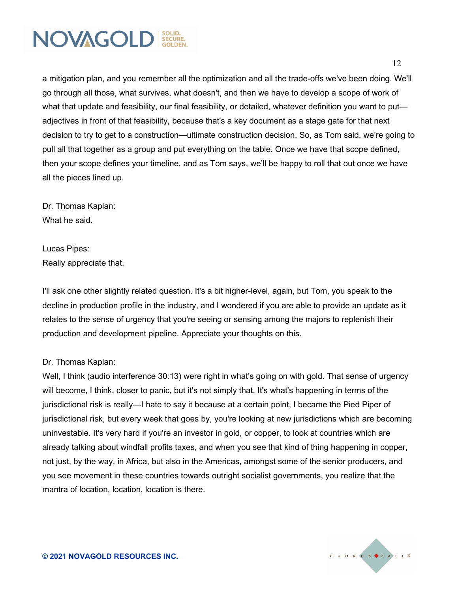

a mitigation plan, and you remember all the optimization and all the trade-offs we've been doing. We'll go through all those, what survives, what doesn't, and then we have to develop a scope of work of what that update and feasibility, our final feasibility, or detailed, whatever definition you want to put adjectives in front of that feasibility, because that's a key document as a stage gate for that next decision to try to get to a construction—ultimate construction decision. So, as Tom said, we're going to pull all that together as a group and put everything on the table. Once we have that scope defined, then your scope defines your timeline, and as Tom says, we'll be happy to roll that out once we have all the pieces lined up.

Dr. Thomas Kaplan: What he said.

Lucas Pipes: Really appreciate that.

I'll ask one other slightly related question. It's a bit higher-level, again, but Tom, you speak to the decline in production profile in the industry, and I wondered if you are able to provide an update as it relates to the sense of urgency that you're seeing or sensing among the majors to replenish their production and development pipeline. Appreciate your thoughts on this.

#### Dr. Thomas Kaplan:

Well, I think (audio interference 30:13) were right in what's going on with gold. That sense of urgency will become, I think, closer to panic, but it's not simply that. It's what's happening in terms of the jurisdictional risk is really—I hate to say it because at a certain point, I became the Pied Piper of jurisdictional risk, but every week that goes by, you're looking at new jurisdictions which are becoming uninvestable. It's very hard if you're an investor in gold, or copper, to look at countries which are already talking about windfall profits taxes, and when you see that kind of thing happening in copper, not just, by the way, in Africa, but also in the Americas, amongst some of the senior producers, and you see movement in these countries towards outright socialist governments, you realize that the mantra of location, location, location is there.

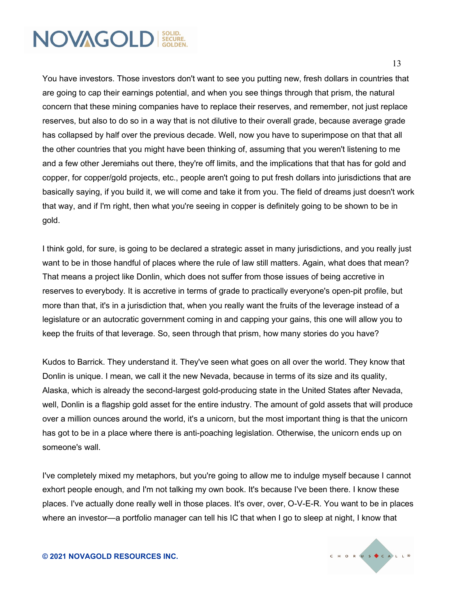You have investors. Those investors don't want to see you putting new, fresh dollars in countries that are going to cap their earnings potential, and when you see things through that prism, the natural concern that these mining companies have to replace their reserves, and remember, not just replace reserves, but also to do so in a way that is not dilutive to their overall grade, because average grade has collapsed by half over the previous decade. Well, now you have to superimpose on that that all the other countries that you might have been thinking of, assuming that you weren't listening to me and a few other Jeremiahs out there, they're off limits, and the implications that that has for gold and copper, for copper/gold projects, etc., people aren't going to put fresh dollars into jurisdictions that are basically saying, if you build it, we will come and take it from you. The field of dreams just doesn't work that way, and if I'm right, then what you're seeing in copper is definitely going to be shown to be in gold.

I think gold, for sure, is going to be declared a strategic asset in many jurisdictions, and you really just want to be in those handful of places where the rule of law still matters. Again, what does that mean? That means a project like Donlin, which does not suffer from those issues of being accretive in reserves to everybody. It is accretive in terms of grade to practically everyone's open-pit profile, but more than that, it's in a jurisdiction that, when you really want the fruits of the leverage instead of a legislature or an autocratic government coming in and capping your gains, this one will allow you to keep the fruits of that leverage. So, seen through that prism, how many stories do you have?

Kudos to Barrick. They understand it. They've seen what goes on all over the world. They know that Donlin is unique. I mean, we call it the new Nevada, because in terms of its size and its quality, Alaska, which is already the second-largest gold-producing state in the United States after Nevada, well, Donlin is a flagship gold asset for the entire industry. The amount of gold assets that will produce over a million ounces around the world, it's a unicorn, but the most important thing is that the unicorn has got to be in a place where there is anti-poaching legislation. Otherwise, the unicorn ends up on someone's wall.

I've completely mixed my metaphors, but you're going to allow me to indulge myself because I cannot exhort people enough, and I'm not talking my own book. It's because I've been there. I know these places. I've actually done really well in those places. It's over, over, O-V-E-R. You want to be in places where an investor—a portfolio manager can tell his IC that when I go to sleep at night, I know that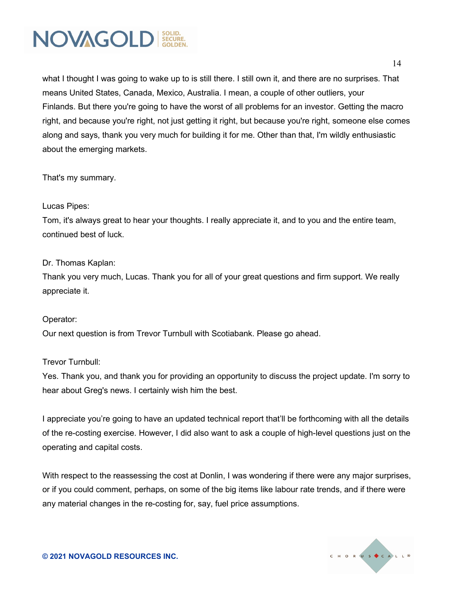

what I thought I was going to wake up to is still there. I still own it, and there are no surprises. That means United States, Canada, Mexico, Australia. I mean, a couple of other outliers, your Finlands. But there you're going to have the worst of all problems for an investor. Getting the macro right, and because you're right, not just getting it right, but because you're right, someone else comes along and says, thank you very much for building it for me. Other than that, I'm wildly enthusiastic about the emerging markets.

That's my summary.

#### Lucas Pipes:

Tom, it's always great to hear your thoughts. I really appreciate it, and to you and the entire team, continued best of luck.

#### Dr. Thomas Kaplan:

Thank you very much, Lucas. Thank you for all of your great questions and firm support. We really appreciate it.

#### Operator:

Our next question is from Trevor Turnbull with Scotiabank. Please go ahead.

#### Trevor Turnbull:

Yes. Thank you, and thank you for providing an opportunity to discuss the project update. I'm sorry to hear about Greg's news. I certainly wish him the best.

I appreciate you're going to have an updated technical report that'll be forthcoming with all the details of the re-costing exercise. However, I did also want to ask a couple of high-level questions just on the operating and capital costs.

With respect to the reassessing the cost at Donlin, I was wondering if there were any major surprises, or if you could comment, perhaps, on some of the big items like labour rate trends, and if there were any material changes in the re-costing for, say, fuel price assumptions.

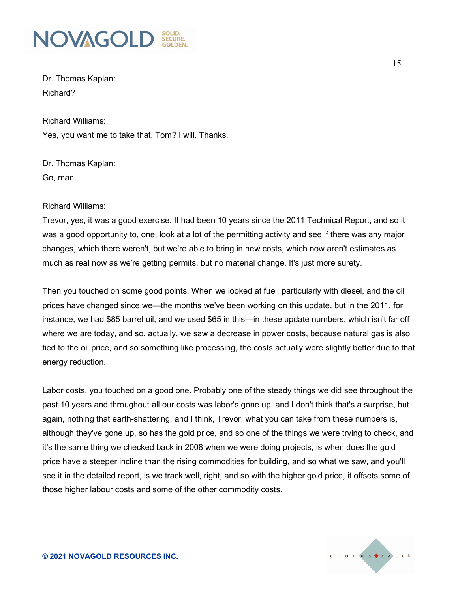

Dr. Thomas Kaplan: Richard?

Richard Williams: Yes, you want me to take that, Tom? I will. Thanks.

Dr. Thomas Kaplan: Go, man.

Richard Williams:

Trevor, yes, it was a good exercise. It had been 10 years since the 2011 Technical Report, and so it was a good opportunity to, one, look at a lot of the permitting activity and see if there was any major changes, which there weren't, but we're able to bring in new costs, which now aren't estimates as much as real now as we're getting permits, but no material change. It's just more surety.

Then you touched on some good points. When we looked at fuel, particularly with diesel, and the oil prices have changed since we—the months we've been working on this update, but in the 2011, for instance, we had \$85 barrel oil, and we used \$65 in this—in these update numbers, which isn't far off where we are today, and so, actually, we saw a decrease in power costs, because natural gas is also tied to the oil price, and so something like processing, the costs actually were slightly better due to that energy reduction.

Labor costs, you touched on a good one. Probably one of the steady things we did see throughout the past 10 years and throughout all our costs was labor's gone up, and I don't think that's a surprise, but again, nothing that earth-shattering, and I think, Trevor, what you can take from these numbers is, although they've gone up, so has the gold price, and so one of the things we were trying to check, and it's the same thing we checked back in 2008 when we were doing projects, is when does the gold price have a steeper incline than the rising commodities for building, and so what we saw, and you'll see it in the detailed report, is we track well, right, and so with the higher gold price, it offsets some of those higher labour costs and some of the other commodity costs.

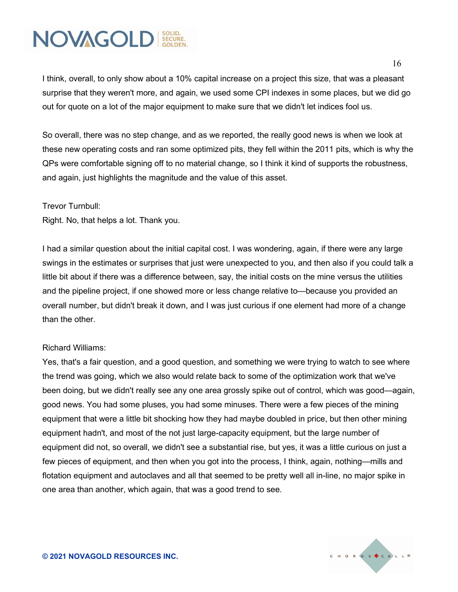I think, overall, to only show about a 10% capital increase on a project this size, that was a pleasant surprise that they weren't more, and again, we used some CPI indexes in some places, but we did go out for quote on a lot of the major equipment to make sure that we didn't let indices fool us.

So overall, there was no step change, and as we reported, the really good news is when we look at these new operating costs and ran some optimized pits, they fell within the 2011 pits, which is why the QPs were comfortable signing off to no material change, so I think it kind of supports the robustness, and again, just highlights the magnitude and the value of this asset.

#### Trevor Turnbull:

Right. No, that helps a lot. Thank you.

I had a similar question about the initial capital cost. I was wondering, again, if there were any large swings in the estimates or surprises that just were unexpected to you, and then also if you could talk a little bit about if there was a difference between, say, the initial costs on the mine versus the utilities and the pipeline project, if one showed more or less change relative to—because you provided an overall number, but didn't break it down, and I was just curious if one element had more of a change than the other.

#### Richard Williams:

Yes, that's a fair question, and a good question, and something we were trying to watch to see where the trend was going, which we also would relate back to some of the optimization work that we've been doing, but we didn't really see any one area grossly spike out of control, which was good—again, good news. You had some pluses, you had some minuses. There were a few pieces of the mining equipment that were a little bit shocking how they had maybe doubled in price, but then other mining equipment hadn't, and most of the not just large-capacity equipment, but the large number of equipment did not, so overall, we didn't see a substantial rise, but yes, it was a little curious on just a few pieces of equipment, and then when you got into the process, I think, again, nothing—mills and flotation equipment and autoclaves and all that seemed to be pretty well all in-line, no major spike in one area than another, which again, that was a good trend to see.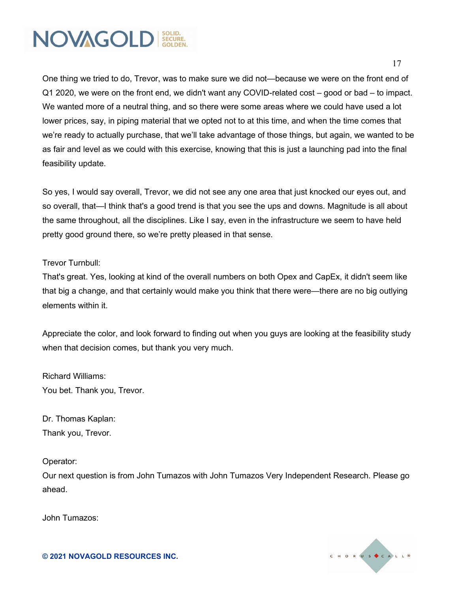17

One thing we tried to do, Trevor, was to make sure we did not—because we were on the front end of Q1 2020, we were on the front end, we didn't want any COVID-related cost – good or bad – to impact. We wanted more of a neutral thing, and so there were some areas where we could have used a lot lower prices, say, in piping material that we opted not to at this time, and when the time comes that we're ready to actually purchase, that we'll take advantage of those things, but again, we wanted to be as fair and level as we could with this exercise, knowing that this is just a launching pad into the final feasibility update.

So yes, I would say overall, Trevor, we did not see any one area that just knocked our eyes out, and so overall, that—I think that's a good trend is that you see the ups and downs. Magnitude is all about the same throughout, all the disciplines. Like I say, even in the infrastructure we seem to have held pretty good ground there, so we're pretty pleased in that sense.

#### Trevor Turnbull:

That's great. Yes, looking at kind of the overall numbers on both Opex and CapEx, it didn't seem like that big a change, and that certainly would make you think that there were—there are no big outlying elements within it.

Appreciate the color, and look forward to finding out when you guys are looking at the feasibility study when that decision comes, but thank you very much.

Richard Williams: You bet. Thank you, Trevor.

Dr. Thomas Kaplan: Thank you, Trevor.

Operator:

Our next question is from John Tumazos with John Tumazos Very Independent Research. Please go ahead.

John Tumazos:

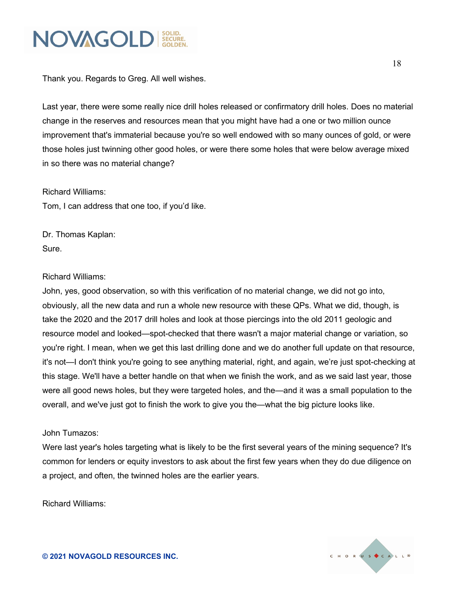

Thank you. Regards to Greg. All well wishes.

Last year, there were some really nice drill holes released or confirmatory drill holes. Does no material change in the reserves and resources mean that you might have had a one or two million ounce improvement that's immaterial because you're so well endowed with so many ounces of gold, or were those holes just twinning other good holes, or were there some holes that were below average mixed in so there was no material change?

Richard Williams:

Tom, I can address that one too, if you'd like.

Dr. Thomas Kaplan: Sure.

#### Richard Williams:

John, yes, good observation, so with this verification of no material change, we did not go into, obviously, all the new data and run a whole new resource with these QPs. What we did, though, is take the 2020 and the 2017 drill holes and look at those piercings into the old 2011 geologic and resource model and looked—spot-checked that there wasn't a major material change or variation, so you're right. I mean, when we get this last drilling done and we do another full update on that resource, it's not—I don't think you're going to see anything material, right, and again, we're just spot-checking at this stage. We'll have a better handle on that when we finish the work, and as we said last year, those were all good news holes, but they were targeted holes, and the—and it was a small population to the overall, and we've just got to finish the work to give you the—what the big picture looks like.

#### John Tumazos:

Were last year's holes targeting what is likely to be the first several years of the mining sequence? It's common for lenders or equity investors to ask about the first few years when they do due diligence on a project, and often, the twinned holes are the earlier years.

Richard Williams: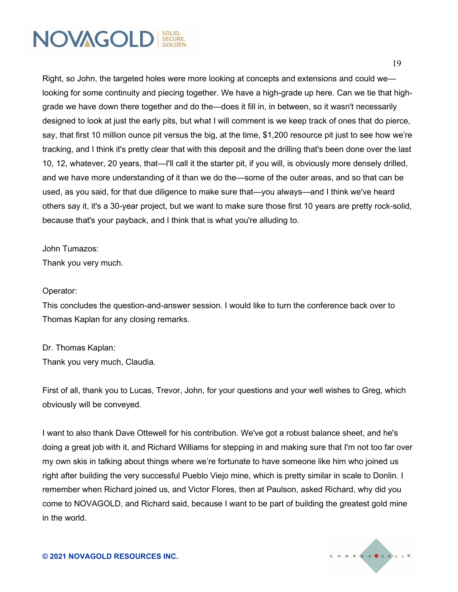Right, so John, the targeted holes were more looking at concepts and extensions and could we looking for some continuity and piecing together. We have a high-grade up here. Can we tie that highgrade we have down there together and do the—does it fill in, in between, so it wasn't necessarily designed to look at just the early pits, but what I will comment is we keep track of ones that do pierce, say, that first 10 million ounce pit versus the big, at the time, \$1,200 resource pit just to see how we're tracking, and I think it's pretty clear that with this deposit and the drilling that's been done over the last 10, 12, whatever, 20 years, that—I'll call it the starter pit, if you will, is obviously more densely drilled, and we have more understanding of it than we do the—some of the outer areas, and so that can be used, as you said, for that due diligence to make sure that—you always—and I think we've heard others say it, it's a 30-year project, but we want to make sure those first 10 years are pretty rock-solid, because that's your payback, and I think that is what you're alluding to.

John Tumazos:

Thank you very much.

#### Operator:

This concludes the question-and-answer session. I would like to turn the conference back over to Thomas Kaplan for any closing remarks.

Dr. Thomas Kaplan: Thank you very much, Claudia.

First of all, thank you to Lucas, Trevor, John, for your questions and your well wishes to Greg, which obviously will be conveyed.

I want to also thank Dave Ottewell for his contribution. We've got a robust balance sheet, and he's doing a great job with it, and Richard Williams for stepping in and making sure that I'm not too far over my own skis in talking about things where we're fortunate to have someone like him who joined us right after building the very successful Pueblo Viejo mine, which is pretty similar in scale to Donlin. I remember when Richard joined us, and Victor Flores, then at Paulson, asked Richard, why did you come to NOVAGOLD, and Richard said, because I want to be part of building the greatest gold mine in the world.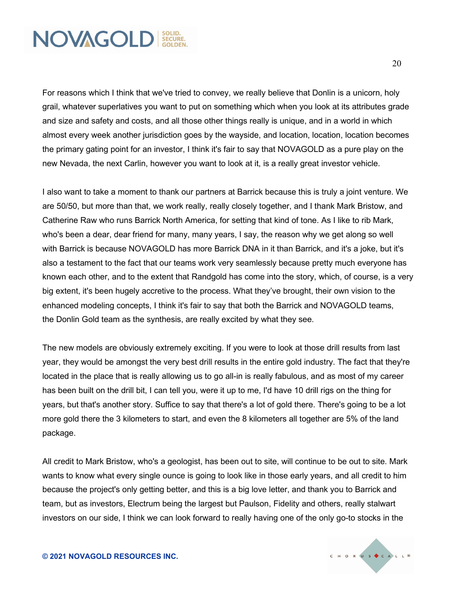For reasons which I think that we've tried to convey, we really believe that Donlin is a unicorn, holy grail, whatever superlatives you want to put on something which when you look at its attributes grade and size and safety and costs, and all those other things really is unique, and in a world in which almost every week another jurisdiction goes by the wayside, and location, location, location becomes the primary gating point for an investor, I think it's fair to say that NOVAGOLD as a pure play on the new Nevada, the next Carlin, however you want to look at it, is a really great investor vehicle.

I also want to take a moment to thank our partners at Barrick because this is truly a joint venture. We are 50/50, but more than that, we work really, really closely together, and I thank Mark Bristow, and Catherine Raw who runs Barrick North America, for setting that kind of tone. As I like to rib Mark, who's been a dear, dear friend for many, many years, I say, the reason why we get along so well with Barrick is because NOVAGOLD has more Barrick DNA in it than Barrick, and it's a joke, but it's also a testament to the fact that our teams work very seamlessly because pretty much everyone has known each other, and to the extent that Randgold has come into the story, which, of course, is a very big extent, it's been hugely accretive to the process. What they've brought, their own vision to the enhanced modeling concepts, I think it's fair to say that both the Barrick and NOVAGOLD teams, the Donlin Gold team as the synthesis, are really excited by what they see.

The new models are obviously extremely exciting. If you were to look at those drill results from last year, they would be amongst the very best drill results in the entire gold industry. The fact that they're located in the place that is really allowing us to go all-in is really fabulous, and as most of my career has been built on the drill bit, I can tell you, were it up to me, I'd have 10 drill rigs on the thing for years, but that's another story. Suffice to say that there's a lot of gold there. There's going to be a lot more gold there the 3 kilometers to start, and even the 8 kilometers all together are 5% of the land package.

All credit to Mark Bristow, who's a geologist, has been out to site, will continue to be out to site. Mark wants to know what every single ounce is going to look like in those early years, and all credit to him because the project's only getting better, and this is a big love letter, and thank you to Barrick and team, but as investors, Electrum being the largest but Paulson, Fidelity and others, really stalwart investors on our side, I think we can look forward to really having one of the only go-to stocks in the